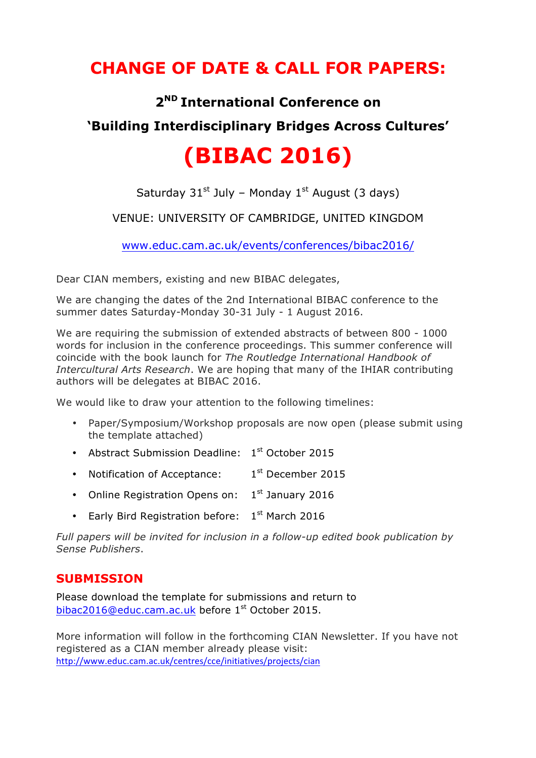## **CHANGE OF DATE & CALL FOR PAPERS:**

### **2ND International Conference on**

## **'Building Interdisciplinary Bridges Across Cultures'**

# **(BIBAC 2016)**

Saturday  $31^{st}$  July – Monday  $1^{st}$  August (3 days)

#### VENUE: UNIVERSITY OF CAMBRIDGE, UNITED KINGDOM

[www.educ.cam.ac.uk/events/conferences/bibac2016/](www.educ.cam.ac.uk/events/conferences/bibac2015/)

Dear CIAN members, existing and new BIBAC delegates,

We are changing the dates of the 2nd International BIBAC conference to the summer dates Saturday-Monday 30-31 July - 1 August 2016.

We are requiring the submission of extended abstracts of between 800 - 1000 words for inclusion in the conference proceedings. This summer conference will coincide with the book launch for *The Routledge International Handbook of Intercultural Arts Research*. We are hoping that many of the IHIAR contributing authors will be delegates at BIBAC 2016.

We would like to draw your attention to the following timelines:

- Paper/Symposium/Workshop proposals are now open (please submit using the template attached)
- Abstract Submission Deadline: 1st October 2015
- Notification of Acceptance:  $1<sup>st</sup>$  December 2015
- Online Registration Opens on:  $1<sup>st</sup>$  January 2016
- Early Bird Registration before:  $1<sup>st</sup>$  March 2016

*Full papers will be invited for inclusion in a follow-up edited book publication by Sense Publishers*.

#### **SUBMISSION**

Please download the template for submissions and return to bibac2016@educ.cam.ac.uk before 1st October 2015.

More information will follow in the forthcoming CIAN Newsletter. If you have not registered as a CIAN member already please visit: <http://www.educ.cam.ac.uk/centres/cce/initiatives/projects/cian>